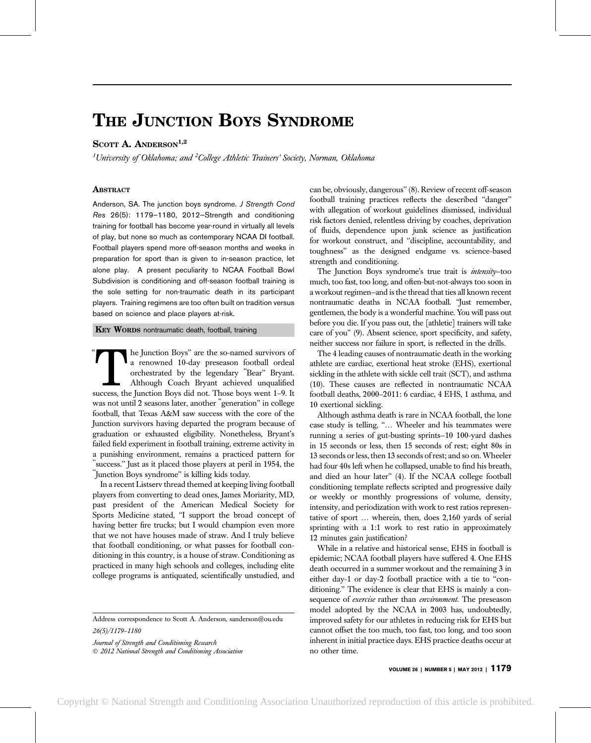## THE JUNCTION BOYS SYNDROME

## SCOTT A. ANDERSON<sup>1,2</sup>

 $^1$ University of Oklahoma; and  $^2$ College Athletic Trainers' Society, Norman, Oklahoma

## **ABSTRACT**

Anderson, SA. The junction boys syndrome. J Strength Cond Res 26(5): 1179–1180, 2012—Strength and conditioning training for football has become year-round in virtually all levels of play, but none so much as contemporary NCAA DI football. Football players spend more off-season months and weeks in preparation for sport than is given to in-season practice, let alone play. A present peculiarity to NCAA Football Bowl Subdivision is conditioning and off-season football training is the sole setting for non-traumatic death in its participant players. Training regimens are too often built on tradition versus based on science and place players at-risk.

KEY WORDS nontraumatic death, football, training

The Junction Boys" are the so-named survivors of a renowned 10-day preseason football ordeal orchestrated by the legendary "Bear" Bryant.<br>Although Coach Bryant achieved unqualified success, the Junction Boys did not. Those a renowned 10-day preseason football ordeal orchestrated by the legendary ''Bear'' Bryant. Although Coach Bryant achieved unqualified was not until 2 seasons later, another "generation" in college football, that Texas A&M saw success with the core of the Junction survivors having departed the program because of graduation or exhausted eligibility. Nonetheless, Bryant's failed field experiment in football training, extreme activity in a punishing environment, remains a practiced pattern for success." Just as it placed those players at peril in 1954, the ''Junction Boys syndrome'' is killing kids today.

In a recent Listserv thread themed at keeping living football players from converting to dead ones, James Moriarity, MD, past president of the American Medical Society for Sports Medicine stated, "I support the broad concept of having better fire trucks; but I would champion even more that we not have houses made of straw. And I truly believe that football conditioning, or what passes for football conditioning in this country, is a house of straw. Conditioning as practiced in many high schools and colleges, including elite college programs is antiquated, scientifically unstudied, and

Address correspondence to Scott A. Anderson, sanderson@ou.edu 26(5)/1179–1180

Journal of Strength and Conditioning Research - 2012 National Strength and Conditioning Association can be, obviously, dangerous'' (8). Review of recent off-season football training practices reflects the described ''danger'' with allegation of workout guidelines dismissed, individual risk factors denied, relentless driving by coaches, deprivation of fluids, dependence upon junk science as justification for workout construct, and ''discipline, accountability, and toughness'' as the designed endgame vs. science-based strength and conditioning.

The Junction Boys syndrome's true trait is *intensity*-too much, too fast, too long, and often-but-not-always too soon in a workout regimen—and is the thread that ties all known recent nontraumatic deaths in NCAA football. ''Just remember, gentlemen, the body is a wonderful machine. You will pass out before you die. If you pass out, the [athletic] trainers will take care of you'' (9). Absent science, sport specificity, and safety, neither success nor failure in sport, is reflected in the drills.

The 4 leading causes of nontraumatic death in the working athlete are cardiac, exertional heat stroke (EHS), exertional sickling in the athlete with sickle cell trait (SCT), and asthma (10). These causes are reflected in nontraumatic NCAA football deaths, 2000–2011: 6 cardiac, 4 EHS, 1 asthma, and 10 exertional sickling.

Although asthma death is rare in NCAA football, the lone case study is telling, "... Wheeler and his teammates were running a series of gut-busting sprints—10 100-yard dashes in 15 seconds or less, then 15 seconds of rest; eight 80s in 13 seconds or less, then 13 seconds of rest; and so on. Wheeler had four 40s left when he collapsed, unable to find his breath, and died an hour later'' (4). If the NCAA college football conditioning template reflects scripted and progressive daily or weekly or monthly progressions of volume, density, intensity, and periodization with work to rest ratios representative of sport ... wherein, then, does 2,160 yards of serial sprinting with a 1:1 work to rest ratio in approximately 12 minutes gain justification?

While in a relative and historical sense, EHS in football is epidemic; NCAA football players have suffered 4. One EHS death occurred in a summer workout and the remaining 3 in either day-1 or day-2 football practice with a tie to ''conditioning.'' The evidence is clear that EHS is mainly a consequence of *exercise* rather than *environment*. The preseason model adopted by the NCAA in 2003 has, undoubtedly, improved safety for our athletes in reducing risk for EHS but cannot offset the too much, too fast, too long, and too soon inherent in initial practice days. EHS practice deaths occur at no other time.

VOLUME 26 | NUMBER 5 | MAY 2012 | 1179